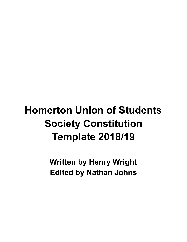# **Homerton Union of Students Society Constitution Template 2018/19**

**Written by Henry Wright Edited by Nathan Johns**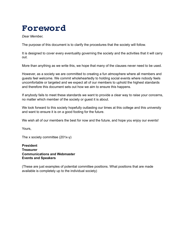### **Foreword**

*Dear Member,* 

The purpose of this document is to clarify the procedures that the society will follow.

It is designed to cover every eventuality governing the society and the activities that it will carry out.

More than anything as we write this, we hope that many of the clauses never need to be used.

However, as a society we are committed to creating a fun atmosphere where all members and guests feel welcome. We commit wholeheartedly to holding social events where nobody feels uncomfortable or targeted and we expect all of our members to uphold the highest standards and therefore this document sets out how we aim to ensure this happens.

If anybody fails to meet these standards we want to provide a clear way to raise your concerns, no matter which member of the society or guest it is about.

We look forward to this society hopefully outlasting our times at this college and this university and want to ensure it is on a good footing for the future.

We wish all of our members the best for now and the future, and hope you enjoy our events!

Yours,

The x society committee (201x-y)

**President Treasurer Communications and Webmaster Events and Speakers** 

(These are just examples of potential committee positions. What positions that are made available is completely up to the individual society)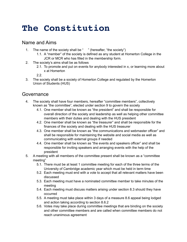## **The Constitution**

#### Name and Aims

- 1. The name of the society shall be " " (hereafter, "the society")
	- 1.1. A "member" of the society is defined as any student at Homerton College in the JCR or MCR who has filled in the membership form.
- 2. The society's aims shall be as follows
	- 2.1. To promote and put on events for anybody interested in x, or learning more about x at Homerton

2.2.

3. The society shall be a society of Homerton College and regulated by the Homerton Union of Students (HUS)

#### Governance

- 4. The society shall have four members, hereafter "committee members", collectively known as "the committee", elected under section 9 to govern the society
	- 4.1. One member shall be known as "the president" and shall be responsible for overall direction of the society and leadership as well as helping other committee members with their duties and dealing with the HUS president
	- 4.2. One member shall be known as "the treasurer" and shall be responsible for the finances of the society and dealing with the HUS treasurer
	- 4.3. One member shall be known as "the communications and webmaster officer" and shall be responsible for maintaining the website and social media as well as communicating with external groups if needed
	- 4.4. One member shall be known as "the events and speakers officer" and shall be responsible for inviting speakers and arranging events with the help of the president
- 5. A meeting with all members of the committee present shall be known as a "committee meeting"
	- 5.1. There must be at least 1 committee meeting for each of the three terms of the University of Cambridge academic year which must be held in term time
	- 5.2. Each meeting must end with a vote to accept that all relevant matters have been discussed
	- 5.3. Each meeting must have a nominated committee member to take minutes of the meeting
	- 5.4. Each meeting must discuss matters arising under section 8.3 should they have occurred
	- 5.5. A meeting must take place within 3 days of a measure 8.6 appeal being lodged and action taking according to section 8.6.2
	- 5.6. Votes may take place during committee meetings that are binding on the society and other committee members and are called when committee members do not reach unanimous agreement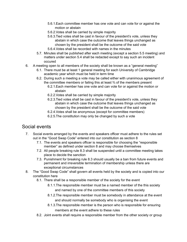- 5.6.1.Each committee member has one vote and can vote for or against the motion or abstain
- 5.6.2.Votes shall be carried by simple majority
- 5.6.3.Tied votes shall be cast in favour of the president's vote, unless they abstain in which case the outcome that leaves things unchanged as chosen by the president shall be the outcome of the said vote
- 5.6.4.Votes shall be recorded with names in the minutes
- 5.7. Minutes shall be published after each meeting (except a section 5.5 meeting) and matters under section 5.4 shall be redacted except to say such an incident occured
- 6. A meeting open to all members of the society shall be known as a "general meeting"
	- 6.1. There must be at least 1 general meeting for each University of Cambridge academic year which must be held in term time
	- 6.2. During such a meeting a vote may be called either with unanimous agreement of the committee members or failing this at least ⅔ of the members present
		- 6.2.1.Each member has one vote and can vote for or against the motion or abstain
		- 6.2.2.Votes shall be carried by simple majority
		- 6.2.3.Tied votes shall be cast in favour of the president's vote, unless they abstain in which case the outcome that leaves things unchanged as chosen by the president shall be the outcome of the said vote
		- 6.2.4.Votes shall be anonymous (except for committee members)
		- 6.2.5.The constitution may only be changed by such a vote

#### Social events

- 7. Social events arranged by the events and speakers officer must adhere to the rules set out in the "Good Swap Code" entered into our constitution as section 8
	- 7.1. The events and speakers officer is responsible for choosing the "responsible member" as defined under section 8 and may choose themselves
	- 7.2. All people breaking rule 8.3 shall be suspended until a committee meeting takes place to decide the sanction
	- 7.3. Punishment for breaking rule 8.3 should usually be a ban from future events and permanent and irreversible termination of membership unless there are exceptional circumstances
- 8. The "Good Swap Code" shall govern all events held by the society and is copied into our constitution here
	- 8.1. There shall be a responsible member of the society for the event
		- 8.1.1.The responsible member must be a named member of the this society and named by one of the committee members of this society
		- 8.1.2.The responsible member must be somebody in attendance at the event and should normally be somebody who is organising the event
		- 8.1.3.The responsible member is the person who is responsible for ensuring members at the event adhere to these rules
	- 8.2. Joint events shall require a responsible member from the other society or group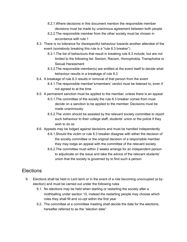- 8.2.1.Where decisions in this document mention the responsible member decisions must be made by unanimous agreement between both people
- 8.2.2.The responsible member from the other society must be chosen in accordance with rule 1
- 8.3. There is no tolerance for disrespectful behaviour towards another attendee of the event (somebody breaking this rule is a "rule 8.3 breaker")
	- 8.3.1.The list of behaviours that result in breaking rule 8.3 include, but are not limited to the following list: Sexism, Racism, Homophobia, Transphobia or Sexual Harassment
	- 8.3.2.The responsible member(s) are entitled at the event itself to decide what behaviour results in a breakage of rule 8.3
- 8.4. A breakage of rule 8.3 results in removal of that person from the event
	- 8.4.1.The responsible member's/members' verdict must be listened to, even if not agreed to at the time
- 8.5. A permanent sanction must be applied to the member, unless there is an appeal
	- 8.5.1.The committee of the society the rule 8.3 breaker comes from must decide on a sanction to be applied to the member. Decisions must be made unanimously
	- 8.5.2.The victim should be assisted by the relevant society committee to report such behaviour to their college staff, students' union or the police if they wish to do so
- 8.6. Appeals may be lodged against decisions and must be handled independently
	- 8.6.1.Should the victim or rule 8.3 breaker disagree with either the decision of the society committee or the original decision of a responsible member they may lodge an appeal with the committee of the relevant society
	- 8.6.2.The committee must within 2 weeks arrange for an independent person to adjudicate on the issue and take the advice of the relevant students' union that the society is governed by to find such a person

#### **Elections**

- 9. Elections shall be held in Lent term or in the event of a role becoming unoccupied (a byelection) and must be carried out under the following rules
	- 9.1. No elections may be held when starting or restarting the society after a mothballing under section 10, instead the restarting people may choose which roles they shall fill and co-opt within the first year
	- 9.2. The committee at a committee meeting shall decide the date for the elections, hereafter referred to as the "election date"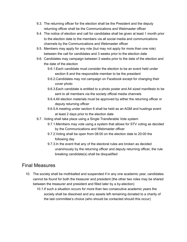- 9.3. The returning officer for the election shall be the President and the deputy returning officer shall be the Communications and Webmaster officer
- 9.4. The notice of election and call for candidates shall be given at least 1 month prior to the election date to the members via all social media and communications channels by the Communications and Webmaster officer
- 9.5. Members may apply for any role (but may not apply for more than one role) between the call for candidates and 3 weeks prior to the election date
- 9.6. Candidates may campaign between 3 weeks prior to the date of the election and the date of the election
	- 9.6.1.Each candidate must consider the election to be an event held under section 8 and the responsible member to be the president
	- 9.6.2.Candidates may not campaign on Facebook except for changing their cover photo
	- 9.6.3.Each candidate is entitled to a photo poster and A4 sized manifesto to be sent to all members via the society official media channels
	- 9.6.4.All election materials must be approved by either the returning officer or deputy returning officer
	- 9.6.5.A meeting under section 6 shall be held as an AGM and hustings event at least 2 days prior to the election date
- 9.7. Voting shall take place using a Single Transferable Vote system
	- 9.7.1.Members may vote using a system that allows for STV voting as decided by the Communications and Webmaster officer
	- 9.7.2.Voting shall be open from 08:00 on the election date to 20:00 the following day
	- 9.7.3.In the event that any of the electoral rules are broken as decided unanimously by the returning officer and deputy returning officer, the rule breaking candidate(s) shall be disqualified

#### Final Measures

- 10. The society shall be mothballed and suspended if in any one academic year, candidates cannot be found for both the treasurer and president (the other two roles may be shared between the treasurer and president and filled later by a by-election)
	- 10.1.If such a situation occurs for more than two consecutive academic years the society shall be dissolved and any assets left remaining donated to a charity of the last committee's choice (who should be contacted should this occur)